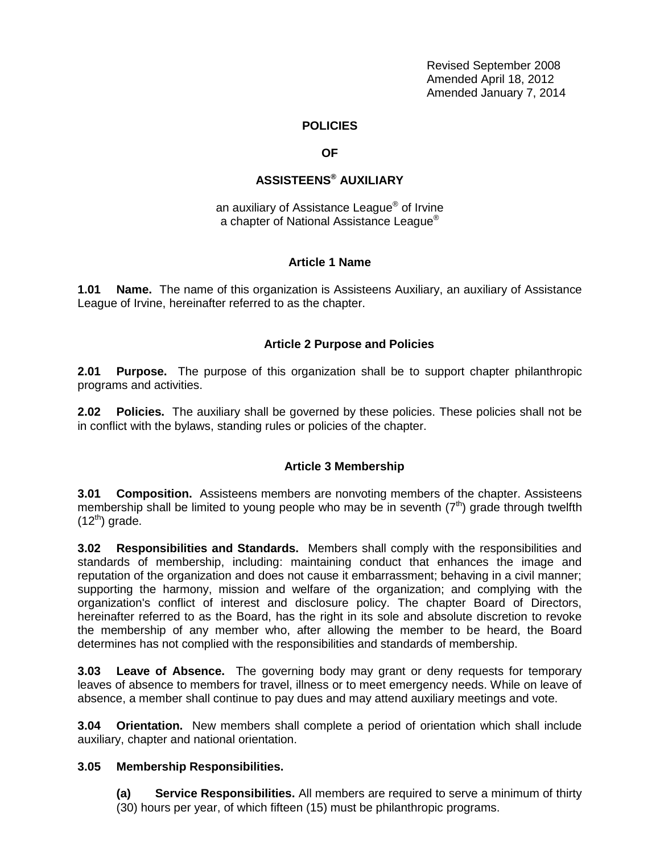Revised September 2008 Amended April 18, 2012 Amended January 7, 2014

### **POLICIES**

#### **OF**

# **ASSISTEENS® AUXILIARY**

an auxiliary of Assistance League® of Irvine a chapter of National Assistance League<sup>®</sup>

#### **Article 1 Name**

**1.01 Name.** The name of this organization is Assisteens Auxiliary, an auxiliary of Assistance League of Irvine, hereinafter referred to as the chapter.

### **Article 2 Purpose and Policies**

**2.01 Purpose.** The purpose of this organization shall be to support chapter philanthropic programs and activities.

**2.02 Policies.** The auxiliary shall be governed by these policies. These policies shall not be in conflict with the bylaws, standing rules or policies of the chapter.

## **Article 3 Membership**

**3.01 Composition.** Assisteens members are nonvoting members of the chapter. Assisteens membership shall be limited to young people who may be in seventh  $(7<sup>th</sup>)$  grade through twelfth  $(12^{th})$  grade.

**3.02 Responsibilities and Standards.** Members shall comply with the responsibilities and standards of membership, including: maintaining conduct that enhances the image and reputation of the organization and does not cause it embarrassment; behaving in a civil manner; supporting the harmony, mission and welfare of the organization; and complying with the organization's conflict of interest and disclosure policy. The chapter Board of Directors, hereinafter referred to as the Board, has the right in its sole and absolute discretion to revoke the membership of any member who, after allowing the member to be heard, the Board determines has not complied with the responsibilities and standards of membership.

**3.03 Leave of Absence.** The governing body may grant or deny requests for temporary leaves of absence to members for travel, illness or to meet emergency needs. While on leave of absence, a member shall continue to pay dues and may attend auxiliary meetings and vote.

**3.04 Orientation.** New members shall complete a period of orientation which shall include auxiliary, chapter and national orientation.

#### **3.05 Membership Responsibilities.**

**(a) Service Responsibilities.** All members are required to serve a minimum of thirty (30) hours per year, of which fifteen (15) must be philanthropic programs.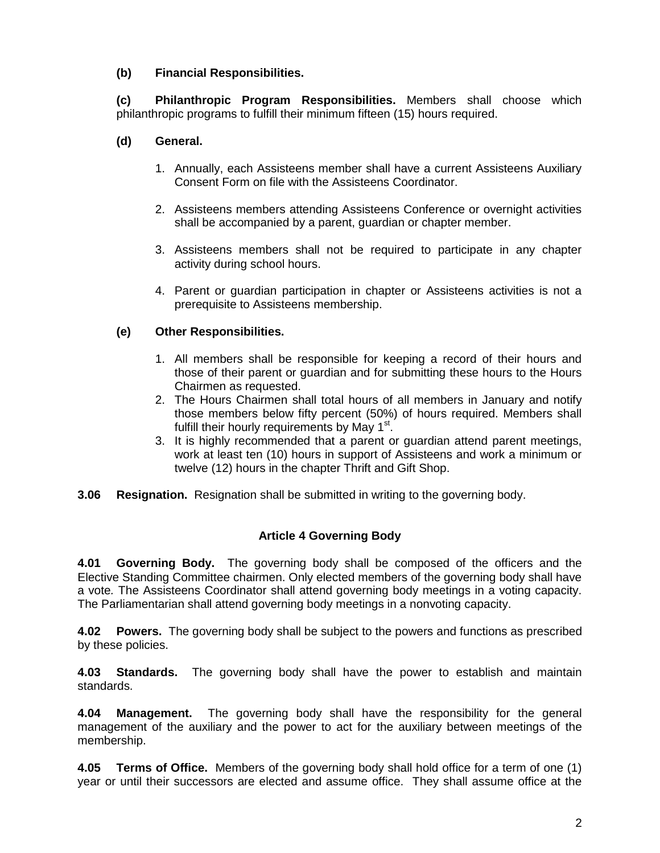## **(b) Financial Responsibilities.**

**(c) Philanthropic Program Responsibilities.** Members shall choose which philanthropic programs to fulfill their minimum fifteen (15) hours required.

## **(d) General.**

- 1. Annually, each Assisteens member shall have a current Assisteens Auxiliary Consent Form on file with the Assisteens Coordinator.
- 2. Assisteens members attending Assisteens Conference or overnight activities shall be accompanied by a parent, guardian or chapter member.
- 3. Assisteens members shall not be required to participate in any chapter activity during school hours.
- 4. Parent or guardian participation in chapter or Assisteens activities is not a prerequisite to Assisteens membership.

## **(e) Other Responsibilities.**

- 1. All members shall be responsible for keeping a record of their hours and those of their parent or guardian and for submitting these hours to the Hours Chairmen as requested.
- 2. The Hours Chairmen shall total hours of all members in January and notify those members below fifty percent (50%) of hours required. Members shall fulfill their hourly requirements by May 1<sup>st</sup>
- 3. It is highly recommended that a parent or guardian attend parent meetings, work at least ten (10) hours in support of Assisteens and work a minimum or twelve (12) hours in the chapter Thrift and Gift Shop.
- **3.06 Resignation.** Resignation shall be submitted in writing to the governing body.

## **Article 4 Governing Body**

**4.01 Governing Body.** The governing body shall be composed of the officers and the Elective Standing Committee chairmen. Only elected members of the governing body shall have a vote*.* The Assisteens Coordinator shall attend governing body meetings in a voting capacity. The Parliamentarian shall attend governing body meetings in a nonvoting capacity.

**4.02 Powers.** The governing body shall be subject to the powers and functions as prescribed by these policies.

**4.03 Standards.** The governing body shall have the power to establish and maintain standards.

**4.04 Management.** The governing body shall have the responsibility for the general management of the auxiliary and the power to act for the auxiliary between meetings of the membership.

**4.05 Terms of Office.** Members of the governing body shall hold office for a term of one (1) year or until their successors are elected and assume office. They shall assume office at the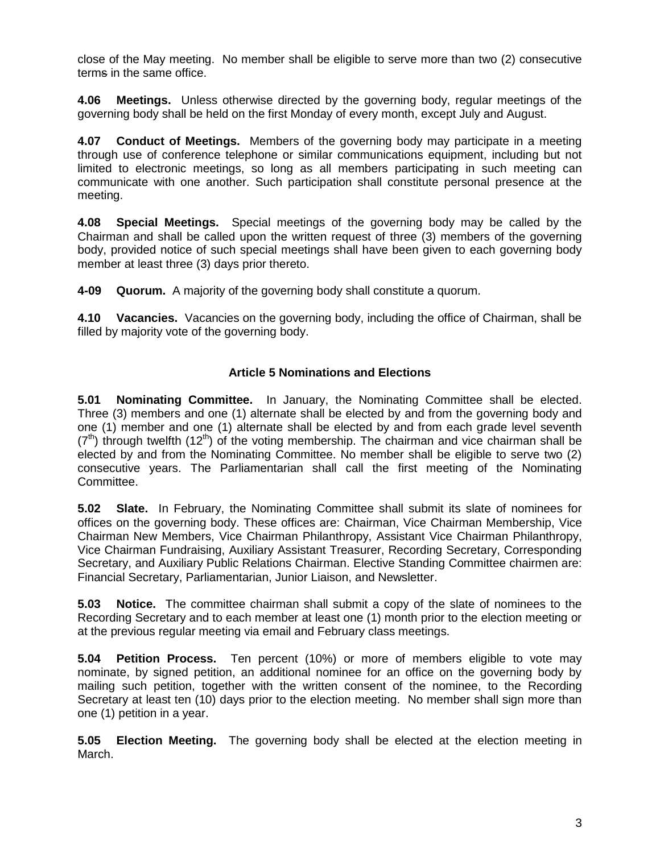close of the May meeting. No member shall be eligible to serve more than two (2) consecutive terms in the same office.

**4.06 Meetings.** Unless otherwise directed by the governing body, regular meetings of the governing body shall be held on the first Monday of every month, except July and August.

**4.07 Conduct of Meetings.** Members of the governing body may participate in a meeting through use of conference telephone or similar communications equipment, including but not limited to electronic meetings, so long as all members participating in such meeting can communicate with one another. Such participation shall constitute personal presence at the meeting.

**4.08 Special Meetings.** Special meetings of the governing body may be called by the Chairman and shall be called upon the written request of three (3) members of the governing body, provided notice of such special meetings shall have been given to each governing body member at least three (3) days prior thereto.

**4-09 Quorum.** A majority of the governing body shall constitute a quorum.

**4.10 Vacancies.** Vacancies on the governing body, including the office of Chairman, shall be filled by majority vote of the governing body.

## **Article 5 Nominations and Elections**

**5.01 Nominating Committee.** In January, the Nominating Committee shall be elected. Three (3) members and one (1) alternate shall be elected by and from the governing body and one (1) member and one (1) alternate shall be elected by and from each grade level seventh  $(7<sup>th</sup>)$  through twelfth  $(12<sup>th</sup>)$  of the voting membership. The chairman and vice chairman shall be elected by and from the Nominating Committee. No member shall be eligible to serve two (2) consecutive years. The Parliamentarian shall call the first meeting of the Nominating Committee.

**5.02 Slate.** In February, the Nominating Committee shall submit its slate of nominees for offices on the governing body. These offices are: Chairman, Vice Chairman Membership, Vice Chairman New Members, Vice Chairman Philanthropy, Assistant Vice Chairman Philanthropy, Vice Chairman Fundraising, Auxiliary Assistant Treasurer, Recording Secretary, Corresponding Secretary, and Auxiliary Public Relations Chairman. Elective Standing Committee chairmen are: Financial Secretary, Parliamentarian, Junior Liaison, and Newsletter.

**5.03 Notice.** The committee chairman shall submit a copy of the slate of nominees to the Recording Secretary and to each member at least one (1) month prior to the election meeting or at the previous regular meeting via email and February class meetings.

**5.04 Petition Process.** Ten percent (10%) or more of members eligible to vote may nominate, by signed petition, an additional nominee for an office on the governing body by mailing such petition, together with the written consent of the nominee, to the Recording Secretary at least ten (10) days prior to the election meeting. No member shall sign more than one (1) petition in a year.

**5.05 Election Meeting.** The governing body shall be elected at the election meeting in March.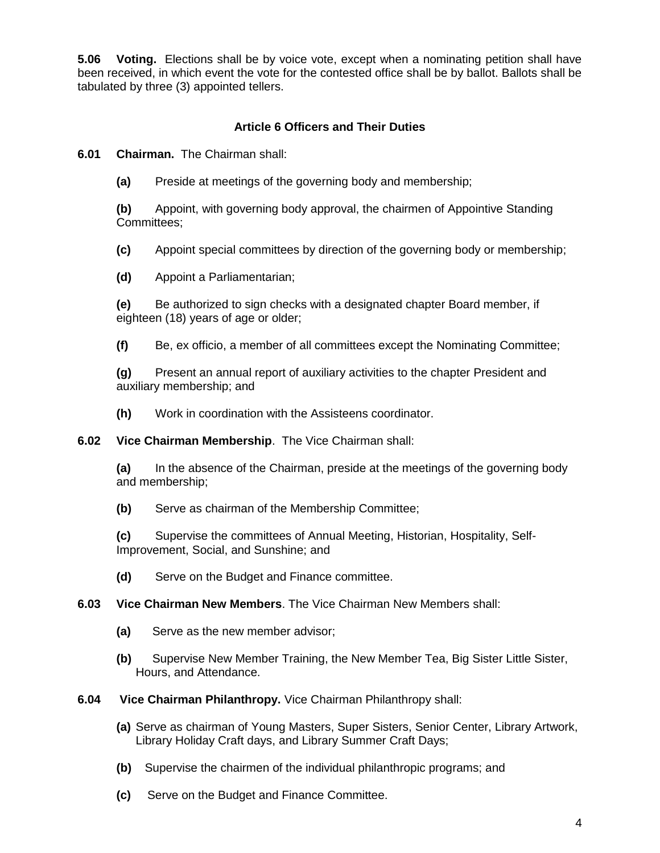**5.06 Voting.** Elections shall be by voice vote, except when a nominating petition shall have been received, in which event the vote for the contested office shall be by ballot. Ballots shall be tabulated by three (3) appointed tellers.

## **Article 6 Officers and Their Duties**

**6.01 Chairman.** The Chairman shall:

**(a)** Preside at meetings of the governing body and membership;

**(b)** Appoint, with governing body approval, the chairmen of Appointive Standing Committees;

**(c)** Appoint special committees by direction of the governing body or membership;

**(d)** Appoint a Parliamentarian;

**(e)** Be authorized to sign checks with a designated chapter Board member, if eighteen (18) years of age or older;

**(f)** Be, ex officio, a member of all committees except the Nominating Committee;

**(g)** Present an annual report of auxiliary activities to the chapter President and auxiliary membership; and

**(h)** Work in coordination with the Assisteens coordinator.

**6.02 Vice Chairman Membership**. The Vice Chairman shall:

**(a)** In the absence of the Chairman, preside at the meetings of the governing body and membership;

**(b)** Serve as chairman of the Membership Committee;

**(c)** Supervise the committees of Annual Meeting, Historian, Hospitality, Self-Improvement, Social, and Sunshine; and

**(d)** Serve on the Budget and Finance committee.

**6.03 Vice Chairman New Members**. The Vice Chairman New Members shall:

**(a)** Serve as the new member advisor;

**(b)** Supervise New Member Training, the New Member Tea, Big Sister Little Sister, Hours, and Attendance.

**6.04 Vice Chairman Philanthropy.** Vice Chairman Philanthropy shall:

**(a)** Serve as chairman of Young Masters, Super Sisters, Senior Center, Library Artwork, Library Holiday Craft days, and Library Summer Craft Days;

**(b)** Supervise the chairmen of the individual philanthropic programs; and

**(c)** Serve on the Budget and Finance Committee.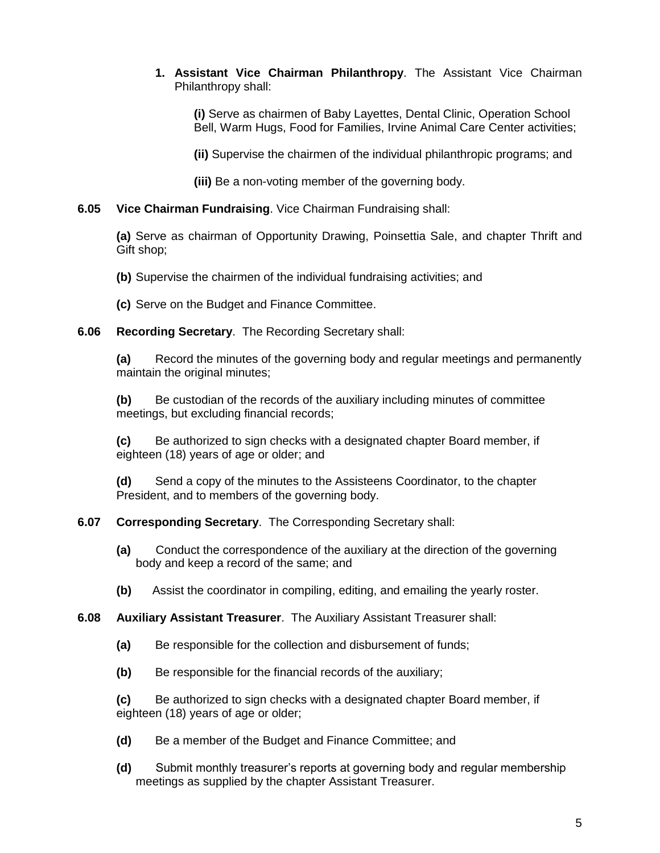## **1. Assistant Vice Chairman Philanthropy**. The Assistant Vice Chairman Philanthropy shall:

**(i)** Serve as chairmen of Baby Layettes, Dental Clinic, Operation School Bell, Warm Hugs, Food for Families, Irvine Animal Care Center activities;

**(ii)** Supervise the chairmen of the individual philanthropic programs; and

**(iii)** Be a non-voting member of the governing body.

## **6.05 Vice Chairman Fundraising**. Vice Chairman Fundraising shall:

**(a)** Serve as chairman of Opportunity Drawing, Poinsettia Sale, and chapter Thrift and Gift shop;

**(b)** Supervise the chairmen of the individual fundraising activities; and

**(c)** Serve on the Budget and Finance Committee.

## **6.06 Recording Secretary**. The Recording Secretary shall:

**(a)** Record the minutes of the governing body and regular meetings and permanently maintain the original minutes;

**(b)** Be custodian of the records of the auxiliary including minutes of committee meetings, but excluding financial records;

**(c)** Be authorized to sign checks with a designated chapter Board member, if eighteen (18) years of age or older; and

**(d)** Send a copy of the minutes to the Assisteens Coordinator, to the chapter President, and to members of the governing body.

# **6.07 Corresponding Secretary**. The Corresponding Secretary shall:

- **(a)**Conduct the correspondence of the auxiliary at the direction of the governing body and keep a record of the same; and
- **(b)** Assist the coordinator in compiling, editing, and emailing the yearly roster.

# **6.08 Auxiliary Assistant Treasurer**. The Auxiliary Assistant Treasurer shall:

- **(a)** Be responsible for the collection and disbursement of funds;
- **(b)** Be responsible for the financial records of the auxiliary;

**(c)** Be authorized to sign checks with a designated chapter Board member, if eighteen (18) years of age or older;

- **(d)** Be a member of the Budget and Finance Committee; and
- **(d)** Submit monthly treasurer's reports at governing body and regular membership meetings as supplied by the chapter Assistant Treasurer.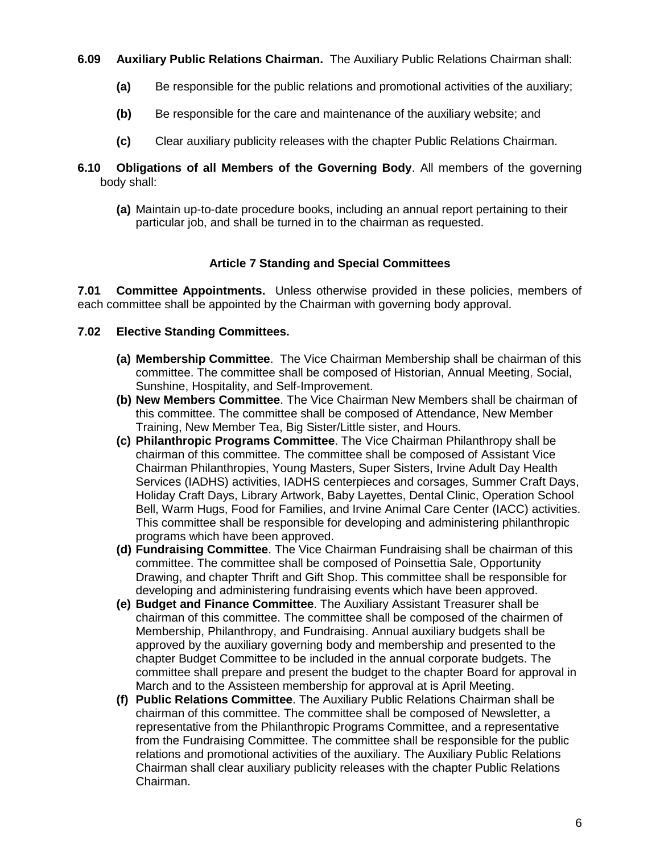**6.09 Auxiliary Public Relations Chairman.** The Auxiliary Public Relations Chairman shall:

- **(a)** Be responsible for the public relations and promotional activities of the auxiliary;
- **(b)** Be responsible for the care and maintenance of the auxiliary website; and
- **(c)** Clear auxiliary publicity releases with the chapter Public Relations Chairman.
- **6.10 Obligations of all Members of the Governing Body**. All members of the governing body shall:
	- **(a)** Maintain up-to-date procedure books, including an annual report pertaining to their particular job, and shall be turned in to the chairman as requested.

### **Article 7 Standing and Special Committees**

**7.01 Committee Appointments.** Unless otherwise provided in these policies, members of each committee shall be appointed by the Chairman with governing body approval.

### **7.02 Elective Standing Committees.**

- **(a) Membership Committee**. The Vice Chairman Membership shall be chairman of this committee. The committee shall be composed of Historian, Annual Meeting, Social, Sunshine, Hospitality, and Self-Improvement.
- **(b) New Members Committee**. The Vice Chairman New Members shall be chairman of this committee. The committee shall be composed of Attendance, New Member Training, New Member Tea, Big Sister/Little sister, and Hours.
- **(c) Philanthropic Programs Committee**. The Vice Chairman Philanthropy shall be chairman of this committee. The committee shall be composed of Assistant Vice Chairman Philanthropies, Young Masters, Super Sisters, Irvine Adult Day Health Services (IADHS) activities, IADHS centerpieces and corsages, Summer Craft Days, Holiday Craft Days, Library Artwork, Baby Layettes, Dental Clinic, Operation School Bell, Warm Hugs, Food for Families, and Irvine Animal Care Center (IACC) activities. This committee shall be responsible for developing and administering philanthropic programs which have been approved.
- **(d) Fundraising Committee**. The Vice Chairman Fundraising shall be chairman of this committee. The committee shall be composed of Poinsettia Sale, Opportunity Drawing, and chapter Thrift and Gift Shop. This committee shall be responsible for developing and administering fundraising events which have been approved.
- **(e) Budget and Finance Committee**. The Auxiliary Assistant Treasurer shall be chairman of this committee. The committee shall be composed of the chairmen of Membership, Philanthropy, and Fundraising. Annual auxiliary budgets shall be approved by the auxiliary governing body and membership and presented to the chapter Budget Committee to be included in the annual corporate budgets. The committee shall prepare and present the budget to the chapter Board for approval in March and to the Assisteen membership for approval at is April Meeting.
- **(f) Public Relations Committee**. The Auxiliary Public Relations Chairman shall be chairman of this committee. The committee shall be composed of Newsletter, a representative from the Philanthropic Programs Committee, and a representative from the Fundraising Committee. The committee shall be responsible for the public relations and promotional activities of the auxiliary. The Auxiliary Public Relations Chairman shall clear auxiliary publicity releases with the chapter Public Relations Chairman.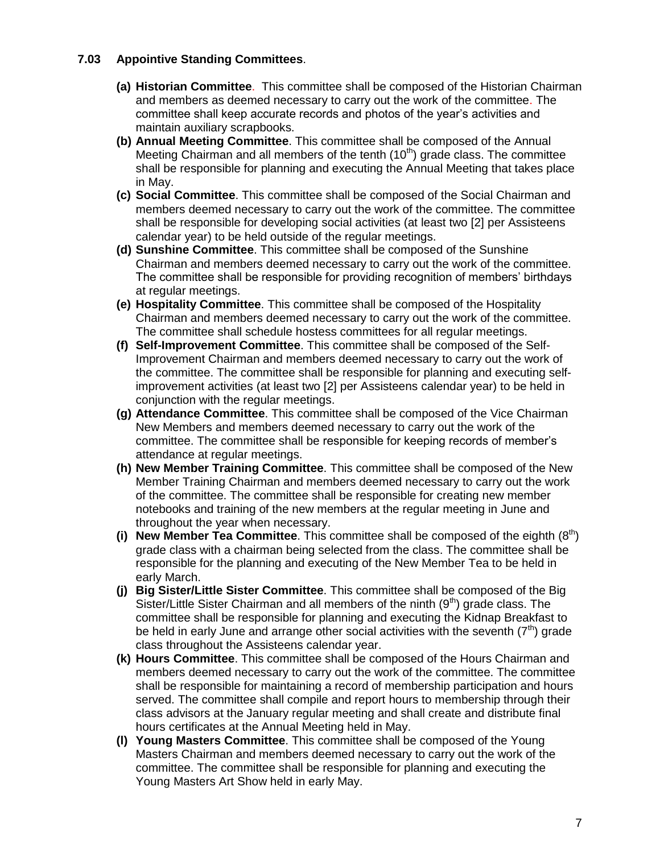## **7.03 Appointive Standing Committees**.

- **(a) Historian Committee**. This committee shall be composed of the Historian Chairman and members as deemed necessary to carry out the work of the committee. The committee shall keep accurate records and photos of the year's activities and maintain auxiliary scrapbooks.
- **(b) Annual Meeting Committee**. This committee shall be composed of the Annual Meeting Chairman and all members of the tenth  $(10<sup>th</sup>)$  grade class. The committee shall be responsible for planning and executing the Annual Meeting that takes place in May.
- **(c) Social Committee**. This committee shall be composed of the Social Chairman and members deemed necessary to carry out the work of the committee. The committee shall be responsible for developing social activities (at least two [2] per Assisteens calendar year) to be held outside of the regular meetings.
- **(d) Sunshine Committee**. This committee shall be composed of the Sunshine Chairman and members deemed necessary to carry out the work of the committee. The committee shall be responsible for providing recognition of members' birthdays at regular meetings.
- **(e) Hospitality Committee**. This committee shall be composed of the Hospitality Chairman and members deemed necessary to carry out the work of the committee. The committee shall schedule hostess committees for all regular meetings.
- **(f) Self-Improvement Committee**. This committee shall be composed of the Self-Improvement Chairman and members deemed necessary to carry out the work of the committee. The committee shall be responsible for planning and executing selfimprovement activities (at least two [2] per Assisteens calendar year) to be held in conjunction with the regular meetings.
- **(g) Attendance Committee**. This committee shall be composed of the Vice Chairman New Members and members deemed necessary to carry out the work of the committee. The committee shall be responsible for keeping records of member's attendance at regular meetings.
- **(h) New Member Training Committee**. This committee shall be composed of the New Member Training Chairman and members deemed necessary to carry out the work of the committee. The committee shall be responsible for creating new member notebooks and training of the new members at the regular meeting in June and throughout the year when necessary.
- **(i) New Member Tea Committee**. This committee shall be composed of the eighth (8th) grade class with a chairman being selected from the class. The committee shall be responsible for the planning and executing of the New Member Tea to be held in early March.
- **(j) Big Sister/Little Sister Committee**. This committee shall be composed of the Big Sister/Little Sister Chairman and all members of the ninth  $(9<sup>th</sup>)$  grade class. The committee shall be responsible for planning and executing the Kidnap Breakfast to be held in early June and arrange other social activities with the seventh  $(7<sup>th</sup>)$  grade class throughout the Assisteens calendar year.
- **(k) Hours Committee**. This committee shall be composed of the Hours Chairman and members deemed necessary to carry out the work of the committee. The committee shall be responsible for maintaining a record of membership participation and hours served. The committee shall compile and report hours to membership through their class advisors at the January regular meeting and shall create and distribute final hours certificates at the Annual Meeting held in May.
- **(l) Young Masters Committee**. This committee shall be composed of the Young Masters Chairman and members deemed necessary to carry out the work of the committee. The committee shall be responsible for planning and executing the Young Masters Art Show held in early May.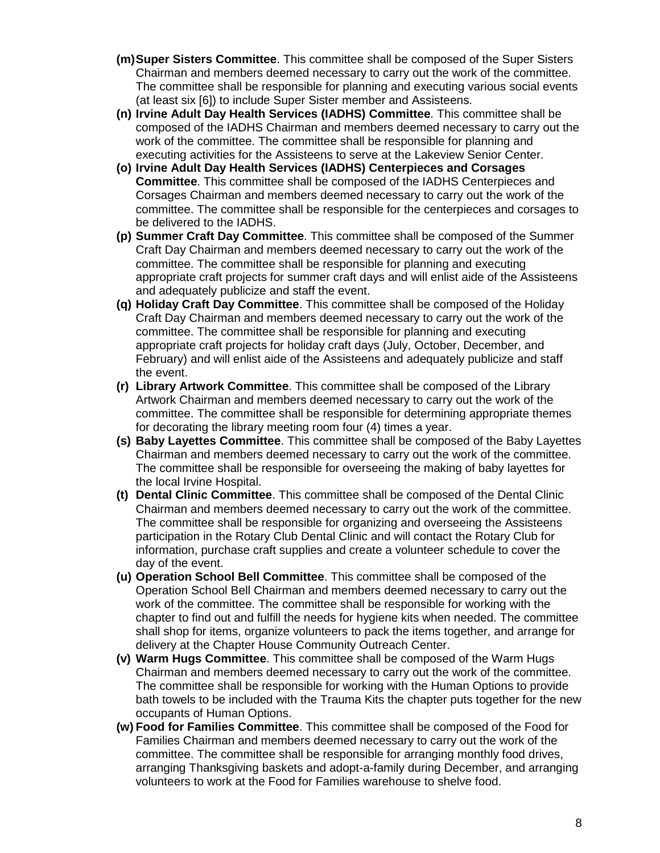- **(m)Super Sisters Committee**. This committee shall be composed of the Super Sisters Chairman and members deemed necessary to carry out the work of the committee. The committee shall be responsible for planning and executing various social events (at least six [6]) to include Super Sister member and Assisteens.
- **(n) Irvine Adult Day Health Services (IADHS) Committee**. This committee shall be composed of the IADHS Chairman and members deemed necessary to carry out the work of the committee. The committee shall be responsible for planning and executing activities for the Assisteens to serve at the Lakeview Senior Center.
- **(o) Irvine Adult Day Health Services (IADHS) Centerpieces and Corsages Committee**. This committee shall be composed of the IADHS Centerpieces and Corsages Chairman and members deemed necessary to carry out the work of the committee. The committee shall be responsible for the centerpieces and corsages to be delivered to the IADHS.
- **(p) Summer Craft Day Committee**. This committee shall be composed of the Summer Craft Day Chairman and members deemed necessary to carry out the work of the committee. The committee shall be responsible for planning and executing appropriate craft projects for summer craft days and will enlist aide of the Assisteens and adequately publicize and staff the event.
- **(q) Holiday Craft Day Committee**. This committee shall be composed of the Holiday Craft Day Chairman and members deemed necessary to carry out the work of the committee. The committee shall be responsible for planning and executing appropriate craft projects for holiday craft days (July, October, December, and February) and will enlist aide of the Assisteens and adequately publicize and staff the event.
- **(r) Library Artwork Committee**. This committee shall be composed of the Library Artwork Chairman and members deemed necessary to carry out the work of the committee. The committee shall be responsible for determining appropriate themes for decorating the library meeting room four (4) times a year.
- **(s) Baby Layettes Committee**. This committee shall be composed of the Baby Layettes Chairman and members deemed necessary to carry out the work of the committee. The committee shall be responsible for overseeing the making of baby layettes for the local Irvine Hospital.
- **(t) Dental Clinic Committee**. This committee shall be composed of the Dental Clinic Chairman and members deemed necessary to carry out the work of the committee. The committee shall be responsible for organizing and overseeing the Assisteens participation in the Rotary Club Dental Clinic and will contact the Rotary Club for information, purchase craft supplies and create a volunteer schedule to cover the day of the event.
- **(u) Operation School Bell Committee**. This committee shall be composed of the Operation School Bell Chairman and members deemed necessary to carry out the work of the committee. The committee shall be responsible for working with the chapter to find out and fulfill the needs for hygiene kits when needed. The committee shall shop for items, organize volunteers to pack the items together, and arrange for delivery at the Chapter House Community Outreach Center.
- **(v) Warm Hugs Committee**. This committee shall be composed of the Warm Hugs Chairman and members deemed necessary to carry out the work of the committee. The committee shall be responsible for working with the Human Options to provide bath towels to be included with the Trauma Kits the chapter puts together for the new occupants of Human Options.
- **(w) Food for Families Committee**. This committee shall be composed of the Food for Families Chairman and members deemed necessary to carry out the work of the committee. The committee shall be responsible for arranging monthly food drives, arranging Thanksgiving baskets and adopt-a-family during December, and arranging volunteers to work at the Food for Families warehouse to shelve food.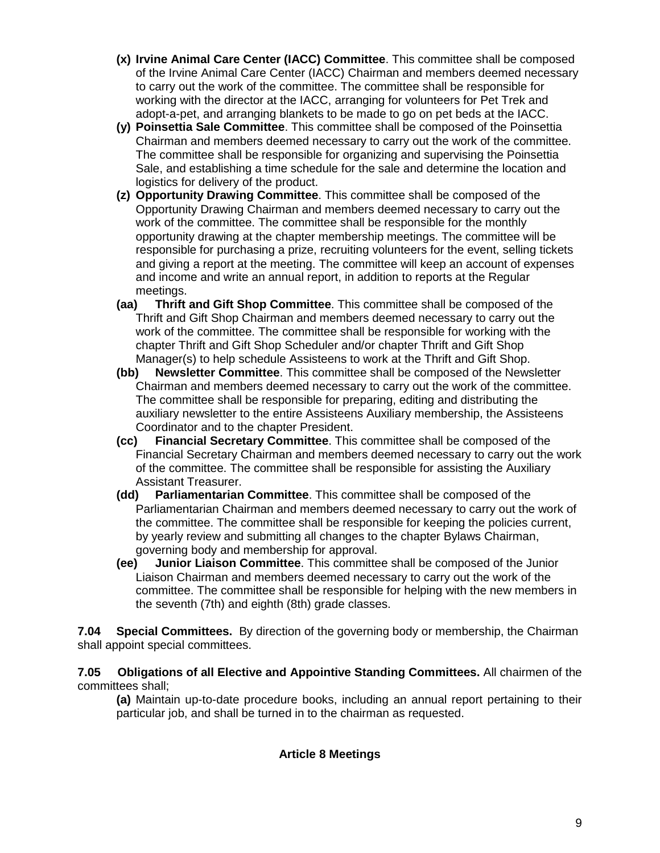- **(x) Irvine Animal Care Center (IACC) Committee**. This committee shall be composed of the Irvine Animal Care Center (IACC) Chairman and members deemed necessary to carry out the work of the committee. The committee shall be responsible for working with the director at the IACC, arranging for volunteers for Pet Trek and adopt-a-pet, and arranging blankets to be made to go on pet beds at the IACC.
- **(y) Poinsettia Sale Committee**. This committee shall be composed of the Poinsettia Chairman and members deemed necessary to carry out the work of the committee. The committee shall be responsible for organizing and supervising the Poinsettia Sale, and establishing a time schedule for the sale and determine the location and logistics for delivery of the product.
- **(z) Opportunity Drawing Committee**. This committee shall be composed of the Opportunity Drawing Chairman and members deemed necessary to carry out the work of the committee. The committee shall be responsible for the monthly opportunity drawing at the chapter membership meetings. The committee will be responsible for purchasing a prize, recruiting volunteers for the event, selling tickets and giving a report at the meeting. The committee will keep an account of expenses and income and write an annual report, in addition to reports at the Regular meetings.
- **(aa) Thrift and Gift Shop Committee**. This committee shall be composed of the Thrift and Gift Shop Chairman and members deemed necessary to carry out the work of the committee. The committee shall be responsible for working with the chapter Thrift and Gift Shop Scheduler and/or chapter Thrift and Gift Shop Manager(s) to help schedule Assisteens to work at the Thrift and Gift Shop.
- **(bb) Newsletter Committee**. This committee shall be composed of the Newsletter Chairman and members deemed necessary to carry out the work of the committee. The committee shall be responsible for preparing, editing and distributing the auxiliary newsletter to the entire Assisteens Auxiliary membership, the Assisteens Coordinator and to the chapter President.
- **(cc) Financial Secretary Committee**. This committee shall be composed of the Financial Secretary Chairman and members deemed necessary to carry out the work of the committee. The committee shall be responsible for assisting the Auxiliary Assistant Treasurer.
- **(dd) Parliamentarian Committee**. This committee shall be composed of the Parliamentarian Chairman and members deemed necessary to carry out the work of the committee. The committee shall be responsible for keeping the policies current, by yearly review and submitting all changes to the chapter Bylaws Chairman, governing body and membership for approval.
- **(ee) Junior Liaison Committee**. This committee shall be composed of the Junior Liaison Chairman and members deemed necessary to carry out the work of the committee. The committee shall be responsible for helping with the new members in the seventh (7th) and eighth (8th) grade classes.

**7.04 Special Committees.** By direction of the governing body or membership, the Chairman shall appoint special committees.

**7.05 Obligations of all Elective and Appointive Standing Committees.** All chairmen of the committees shall;

**(a)** Maintain up-to-date procedure books, including an annual report pertaining to their particular job, and shall be turned in to the chairman as requested.

# **Article 8 Meetings**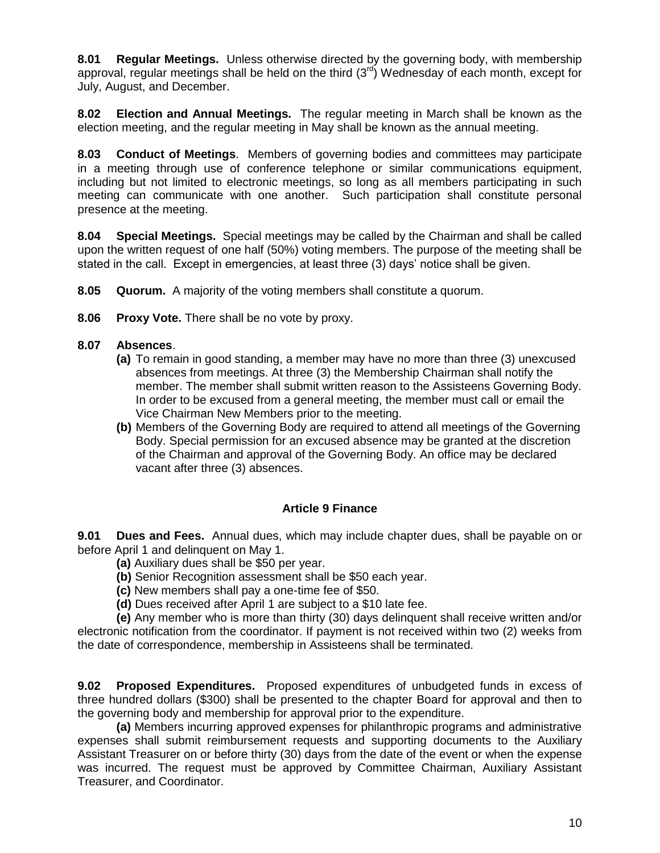**8.01 Regular Meetings.** Unless otherwise directed by the governing body, with membership approval, regular meetings shall be held on the third  $(3<sup>rd</sup>)$  Wednesday of each month, except for July, August, and December.

**8.02 Election and Annual Meetings.** The regular meeting in March shall be known as the election meeting, and the regular meeting in May shall be known as the annual meeting.

**8.03 Conduct of Meetings**. Members of governing bodies and committees may participate in a meeting through use of conference telephone or similar communications equipment, including but not limited to electronic meetings, so long as all members participating in such meeting can communicate with one another. Such participation shall constitute personal presence at the meeting.

**8.04 Special Meetings.** Special meetings may be called by the Chairman and shall be called upon the written request of one half (50%) voting members. The purpose of the meeting shall be stated in the call. Except in emergencies, at least three (3) days' notice shall be given.

- **8.05 Quorum.** A majority of the voting members shall constitute a quorum.
- **8.06 Proxy Vote.** There shall be no vote by proxy.

### **8.07 Absences**.

- **(a)** To remain in good standing, a member may have no more than three (3) unexcused absences from meetings. At three (3) the Membership Chairman shall notify the member. The member shall submit written reason to the Assisteens Governing Body. In order to be excused from a general meeting, the member must call or email the Vice Chairman New Members prior to the meeting.
- **(b)** Members of the Governing Body are required to attend all meetings of the Governing Body. Special permission for an excused absence may be granted at the discretion of the Chairman and approval of the Governing Body. An office may be declared vacant after three (3) absences.

#### **Article 9 Finance**

**9.01 Dues and Fees.** Annual dues, which may include chapter dues, shall be payable on or before April 1 and delinquent on May 1.

- **(a)** Auxiliary dues shall be \$50 per year.
- **(b)** Senior Recognition assessment shall be \$50 each year.
- **(c)** New members shall pay a one-time fee of \$50.
- **(d)** Dues received after April 1 are subject to a \$10 late fee.

**(e)** Any member who is more than thirty (30) days delinquent shall receive written and/or electronic notification from the coordinator. If payment is not received within two (2) weeks from the date of correspondence, membership in Assisteens shall be terminated.

**9.02 Proposed Expenditures.** Proposed expenditures of unbudgeted funds in excess of three hundred dollars (\$300) shall be presented to the chapter Board for approval and then to the governing body and membership for approval prior to the expenditure.

**(a)** Members incurring approved expenses for philanthropic programs and administrative expenses shall submit reimbursement requests and supporting documents to the Auxiliary Assistant Treasurer on or before thirty (30) days from the date of the event or when the expense was incurred. The request must be approved by Committee Chairman, Auxiliary Assistant Treasurer, and Coordinator.